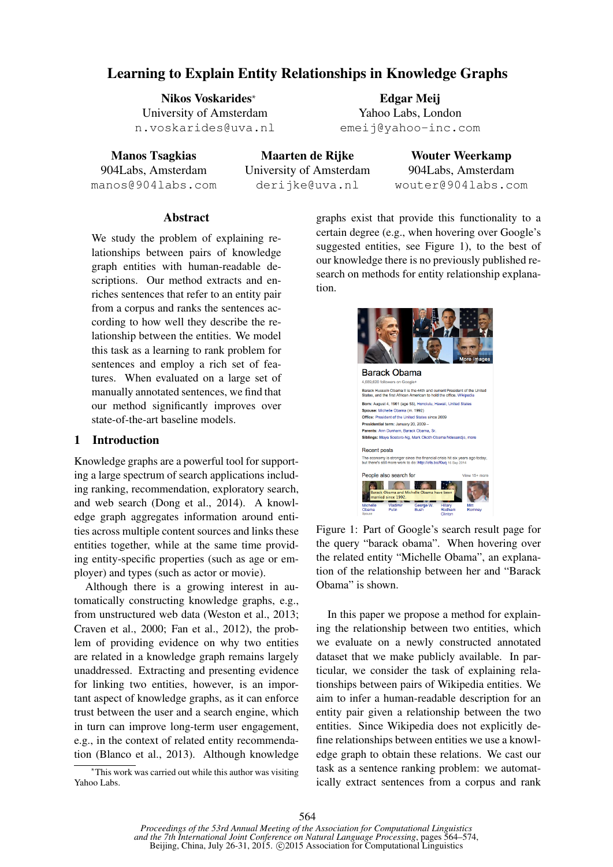# Learning to Explain Entity Relationships in Knowledge Graphs

Nikos Voskarides<sup>∗</sup> University of Amsterdam n.voskarides@uva.nl

Manos Tsagkias 904Labs, Amsterdam manos@904labs.com

Maarten de Rijke University of Amsterdam derijke@uva.nl

Wouter Weerkamp 904Labs, Amsterdam wouter@904labs.com

### **Abstract**

We study the problem of explaining relationships between pairs of knowledge graph entities with human-readable descriptions. Our method extracts and enriches sentences that refer to an entity pair from a corpus and ranks the sentences according to how well they describe the relationship between the entities. We model this task as a learning to rank problem for sentences and employ a rich set of features. When evaluated on a large set of manually annotated sentences, we find that our method significantly improves over state-of-the-art baseline models.

### 1 Introduction

Knowledge graphs are a powerful tool for supporting a large spectrum of search applications including ranking, recommendation, exploratory search, and web search (Dong et al., 2014). A knowledge graph aggregates information around entities across multiple content sources and links these entities together, while at the same time providing entity-specific properties (such as age or employer) and types (such as actor or movie).

Although there is a growing interest in automatically constructing knowledge graphs, e.g., from unstructured web data (Weston et al., 2013; Craven et al., 2000; Fan et al., 2012), the problem of providing evidence on why two entities are related in a knowledge graph remains largely unaddressed. Extracting and presenting evidence for linking two entities, however, is an important aspect of knowledge graphs, as it can enforce trust between the user and a search engine, which in turn can improve long-term user engagement, e.g., in the context of related entity recommendation (Blanco et al., 2013). Although knowledge

<sup>∗</sup>This work was carried out while this author was visiting Yahoo Labs.

graphs exist that provide this functionality to a certain degree (e.g., when hovering over Google's suggested entities, see Figure 1), to the best of our knowledge there is no previously published research on methods for entity relationship explanation.

Edgar Meij Yahoo Labs, London emeij@yahoo-inc.com



Figure 1: Part of Google's search result page for the query "barack obama". When hovering over the related entity "Michelle Obama", an explanation of the relationship between her and "Barack Obama" is shown.

In this paper we propose a method for explaining the relationship between two entities, which we evaluate on a newly constructed annotated dataset that we make publicly available. In particular, we consider the task of explaining relationships between pairs of Wikipedia entities. We aim to infer a human-readable description for an entity pair given a relationship between the two entities. Since Wikipedia does not explicitly define relationships between entities we use a knowledge graph to obtain these relations. We cast our task as a sentence ranking problem: we automatically extract sentences from a corpus and rank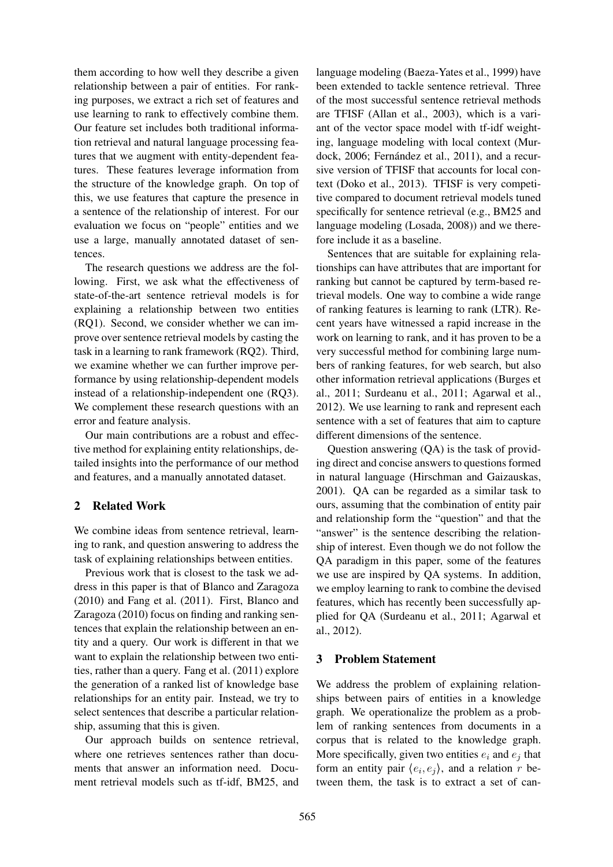them according to how well they describe a given relationship between a pair of entities. For ranking purposes, we extract a rich set of features and use learning to rank to effectively combine them. Our feature set includes both traditional information retrieval and natural language processing features that we augment with entity-dependent features. These features leverage information from the structure of the knowledge graph. On top of this, we use features that capture the presence in a sentence of the relationship of interest. For our evaluation we focus on "people" entities and we use a large, manually annotated dataset of sentences.

The research questions we address are the following. First, we ask what the effectiveness of state-of-the-art sentence retrieval models is for explaining a relationship between two entities (RQ1). Second, we consider whether we can improve over sentence retrieval models by casting the task in a learning to rank framework (RQ2). Third, we examine whether we can further improve performance by using relationship-dependent models instead of a relationship-independent one (RQ3). We complement these research questions with an error and feature analysis.

Our main contributions are a robust and effective method for explaining entity relationships, detailed insights into the performance of our method and features, and a manually annotated dataset.

### 2 Related Work

We combine ideas from sentence retrieval, learning to rank, and question answering to address the task of explaining relationships between entities.

Previous work that is closest to the task we address in this paper is that of Blanco and Zaragoza (2010) and Fang et al. (2011). First, Blanco and Zaragoza (2010) focus on finding and ranking sentences that explain the relationship between an entity and a query. Our work is different in that we want to explain the relationship between two entities, rather than a query. Fang et al. (2011) explore the generation of a ranked list of knowledge base relationships for an entity pair. Instead, we try to select sentences that describe a particular relationship, assuming that this is given.

Our approach builds on sentence retrieval, where one retrieves sentences rather than documents that answer an information need. Document retrieval models such as tf-idf, BM25, and

language modeling (Baeza-Yates et al., 1999) have been extended to tackle sentence retrieval. Three of the most successful sentence retrieval methods are TFISF (Allan et al., 2003), which is a variant of the vector space model with tf-idf weighting, language modeling with local context (Murdock, 2006; Fernández et al., 2011), and a recursive version of TFISF that accounts for local context (Doko et al., 2013). TFISF is very competitive compared to document retrieval models tuned specifically for sentence retrieval (e.g., BM25 and language modeling (Losada, 2008)) and we therefore include it as a baseline.

Sentences that are suitable for explaining relationships can have attributes that are important for ranking but cannot be captured by term-based retrieval models. One way to combine a wide range of ranking features is learning to rank (LTR). Recent years have witnessed a rapid increase in the work on learning to rank, and it has proven to be a very successful method for combining large numbers of ranking features, for web search, but also other information retrieval applications (Burges et al., 2011; Surdeanu et al., 2011; Agarwal et al., 2012). We use learning to rank and represent each sentence with a set of features that aim to capture different dimensions of the sentence.

Question answering (QA) is the task of providing direct and concise answers to questions formed in natural language (Hirschman and Gaizauskas, 2001). QA can be regarded as a similar task to ours, assuming that the combination of entity pair and relationship form the "question" and that the "answer" is the sentence describing the relationship of interest. Even though we do not follow the QA paradigm in this paper, some of the features we use are inspired by QA systems. In addition, we employ learning to rank to combine the devised features, which has recently been successfully applied for QA (Surdeanu et al., 2011; Agarwal et al., 2012).

### 3 Problem Statement

We address the problem of explaining relationships between pairs of entities in a knowledge graph. We operationalize the problem as a problem of ranking sentences from documents in a corpus that is related to the knowledge graph. More specifically, given two entities  $e_i$  and  $e_j$  that form an entity pair  $\langle e_i, e_j \rangle$ , and a relation r between them, the task is to extract a set of can-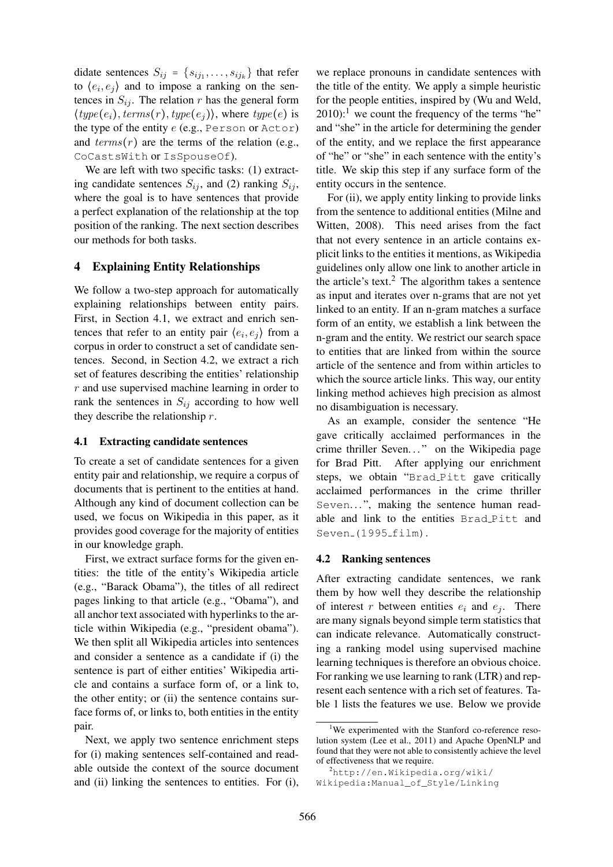didate sentences  $S_{ij} = \{s_{ij_1}, \ldots, s_{ij_k}\}\$  that refer to  $\langle e_i, e_j \rangle$  and to impose a ranking on the sentences in  $S_{ij}$ . The relation r has the general form  $\langle type(e_i), terms(r),type(e_j) \rangle$ , where  $type(e)$  is the type of the entity e (e.g., Person or Actor) and  $terms(r)$  are the terms of the relation (e.g., CoCastsWith or IsSpouseOf).

We are left with two specific tasks: (1) extracting candidate sentences  $S_{ij}$ , and (2) ranking  $S_{ij}$ , where the goal is to have sentences that provide a perfect explanation of the relationship at the top position of the ranking. The next section describes our methods for both tasks.

### 4 Explaining Entity Relationships

We follow a two-step approach for automatically explaining relationships between entity pairs. First, in Section 4.1, we extract and enrich sentences that refer to an entity pair  $\langle e_i, e_j \rangle$  from a corpus in order to construct a set of candidate sentences. Second, in Section 4.2, we extract a rich set of features describing the entities' relationship  $r$  and use supervised machine learning in order to rank the sentences in  $S_{ij}$  according to how well they describe the relationship  $r$ .

### 4.1 Extracting candidate sentences

To create a set of candidate sentences for a given entity pair and relationship, we require a corpus of documents that is pertinent to the entities at hand. Although any kind of document collection can be used, we focus on Wikipedia in this paper, as it provides good coverage for the majority of entities in our knowledge graph.

First, we extract surface forms for the given entities: the title of the entity's Wikipedia article (e.g., "Barack Obama"), the titles of all redirect pages linking to that article (e.g., "Obama"), and all anchor text associated with hyperlinks to the article within Wikipedia (e.g., "president obama"). We then split all Wikipedia articles into sentences and consider a sentence as a candidate if (i) the sentence is part of either entities' Wikipedia article and contains a surface form of, or a link to, the other entity; or (ii) the sentence contains surface forms of, or links to, both entities in the entity pair.

Next, we apply two sentence enrichment steps for (i) making sentences self-contained and readable outside the context of the source document and (ii) linking the sentences to entities. For (i),

we replace pronouns in candidate sentences with the title of the entity. We apply a simple heuristic for the people entities, inspired by (Wu and Weld,  $2010$ :<sup>1</sup> we count the frequency of the terms "he" and "she" in the article for determining the gender of the entity, and we replace the first appearance of "he" or "she" in each sentence with the entity's title. We skip this step if any surface form of the entity occurs in the sentence.

For (ii), we apply entity linking to provide links from the sentence to additional entities (Milne and Witten, 2008). This need arises from the fact that not every sentence in an article contains explicit links to the entities it mentions, as Wikipedia guidelines only allow one link to another article in the article's text. $^2$  The algorithm takes a sentence as input and iterates over n-grams that are not yet linked to an entity. If an n-gram matches a surface form of an entity, we establish a link between the n-gram and the entity. We restrict our search space to entities that are linked from within the source article of the sentence and from within articles to which the source article links. This way, our entity linking method achieves high precision as almost no disambiguation is necessary.

As an example, consider the sentence "He gave critically acclaimed performances in the crime thriller Seven..." on the Wikipedia page for Brad Pitt. After applying our enrichment steps, we obtain "Brad Pitt gave critically acclaimed performances in the crime thriller Seven...", making the sentence human readable and link to the entities Brad Pitt and Seven<sub>-</sub>(1995<sub>-film).</sub>

### 4.2 Ranking sentences

After extracting candidate sentences, we rank them by how well they describe the relationship of interest r between entities  $e_i$  and  $e_j$ . There are many signals beyond simple term statistics that can indicate relevance. Automatically constructing a ranking model using supervised machine learning techniques is therefore an obvious choice. For ranking we use learning to rank (LTR) and represent each sentence with a rich set of features. Table 1 lists the features we use. Below we provide

<sup>&</sup>lt;sup>1</sup>We experimented with the Stanford co-reference resolution system (Lee et al., 2011) and Apache OpenNLP and found that they were not able to consistently achieve the level of effectiveness that we require.

 $^{2}$ http://en.Wikipedia.org/wiki/ Wikipedia:Manual\_of\_Style/Linking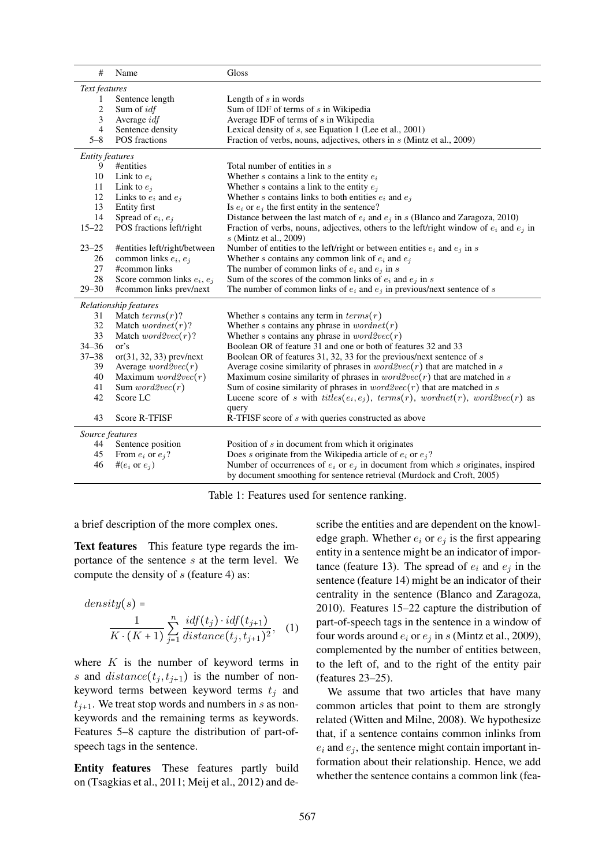| #                      | Name                          | Gloss                                                                                                                                                           |  |  |  |  |  |
|------------------------|-------------------------------|-----------------------------------------------------------------------------------------------------------------------------------------------------------------|--|--|--|--|--|
| Text features          |                               |                                                                                                                                                                 |  |  |  |  |  |
| 1                      | Sentence length               | Length of $s$ in words                                                                                                                                          |  |  |  |  |  |
| $\overline{c}$         | Sum of <i>idf</i>             | Sum of IDF of terms of s in Wikipedia                                                                                                                           |  |  |  |  |  |
| 3                      | Average <i>idf</i>            | Average IDF of terms of s in Wikipedia                                                                                                                          |  |  |  |  |  |
| 4                      | Sentence density              | Lexical density of $s$ , see Equation 1 (Lee et al., 2001)                                                                                                      |  |  |  |  |  |
| $5 - 8$                | <b>POS</b> fractions          | Fraction of verbs, nouns, adjectives, others in s (Mintz et al., 2009)                                                                                          |  |  |  |  |  |
| <b>Entity features</b> |                               |                                                                                                                                                                 |  |  |  |  |  |
| 9                      | #entities                     | Total number of entities in s                                                                                                                                   |  |  |  |  |  |
| 10                     | Link to $e_i$                 | Whether $s$ contains a link to the entity $e_i$                                                                                                                 |  |  |  |  |  |
| 11                     | Link to $e_i$                 | Whether s contains a link to the entity $e_j$                                                                                                                   |  |  |  |  |  |
| 12                     | Links to $e_i$ and $e_i$      | Whether s contains links to both entities $e_i$ and $e_j$                                                                                                       |  |  |  |  |  |
| 13                     | Entity first                  | Is $e_i$ or $e_j$ the first entity in the sentence?                                                                                                             |  |  |  |  |  |
| 14                     | Spread of $e_i, e_j$          | Distance between the last match of $e_i$ and $e_j$ in s (Blanco and Zaragoza, 2010)                                                                             |  |  |  |  |  |
| $15 - 22$              | POS fractions left/right      | Fraction of verbs, nouns, adjectives, others to the left/right window of $e_i$ and $e_j$ in<br>s (Mintz et al., 2009)                                           |  |  |  |  |  |
| $23 - 25$              | #entities left/right/between  | Number of entities to the left/right or between entities $e_i$ and $e_j$ in s                                                                                   |  |  |  |  |  |
| 26                     | common links $e_i, e_i$       | Whether s contains any common link of $e_i$ and $e_j$                                                                                                           |  |  |  |  |  |
| 27                     | #common links                 | The number of common links of $e_i$ and $e_j$ in s                                                                                                              |  |  |  |  |  |
| 28                     | Score common links $e_i, e_j$ | Sum of the scores of the common links of $e_i$ and $e_j$ in s                                                                                                   |  |  |  |  |  |
| $29 - 30$              | #common links prev/next       | The number of common links of $e_i$ and $e_j$ in previous/next sentence of s                                                                                    |  |  |  |  |  |
|                        | Relationship features         |                                                                                                                                                                 |  |  |  |  |  |
| 31                     | Match $terms(r)$ ?            | Whether s contains any term in $terms(r)$                                                                                                                       |  |  |  |  |  |
| 32                     | Match <i>wordnet</i> $(r)$ ?  | Whether s contains any phrase in $wordnet(r)$                                                                                                                   |  |  |  |  |  |
| 33                     | Match $word2vec(r)$ ?         | Whether s contains any phrase in $word2vec(r)$                                                                                                                  |  |  |  |  |  |
| $34 - 36$              | or's                          | Boolean OR of feature 31 and one or both of features 32 and 33                                                                                                  |  |  |  |  |  |
| $37 - 38$              | $or(31, 32, 33)$ prev/next    | Boolean OR of features 31, 32, 33 for the previous/next sentence of s                                                                                           |  |  |  |  |  |
| 39                     | Average $word2vec(r)$         | Average cosine similarity of phrases in $word2vec(r)$ that are matched in s                                                                                     |  |  |  |  |  |
| 40                     | Maximum $word2vec(r)$         | Maximum cosine similarity of phrases in $word2vec(r)$ that are matched in s                                                                                     |  |  |  |  |  |
| 41                     | Sum $word2vec(r)$             | Sum of cosine similarity of phrases in $word2vec(r)$ that are matched in s                                                                                      |  |  |  |  |  |
| 42                     | Score LC                      | Lucene score of s with titles( $e_i, e_j$ ), terms(r), wordnet(r), word2vec(r) as                                                                               |  |  |  |  |  |
| 43                     | Score R-TFISF                 | query<br>R-TFISF score of s with queries constructed as above                                                                                                   |  |  |  |  |  |
| Source features        |                               |                                                                                                                                                                 |  |  |  |  |  |
| 44                     | Sentence position             | Position of s in document from which it originates                                                                                                              |  |  |  |  |  |
| 45                     | From $e_i$ or $e_j$ ?         | Does s originate from the Wikipedia article of $e_i$ or $e_j$ ?                                                                                                 |  |  |  |  |  |
| 46                     | # $(e_i \text{ or } e_i)$     | Number of occurrences of $e_i$ or $e_j$ in document from which s originates, inspired<br>by document smoothing for sentence retrieval (Murdock and Croft, 2005) |  |  |  |  |  |

Table 1: Features used for sentence ranking.

a brief description of the more complex ones.

Text features This feature type regards the importance of the sentence s at the term level. We compute the density of  $s$  (feature 4) as:

$$
density(s) =
$$
  

$$
\frac{1}{K \cdot (K+1)} \sum_{j=1}^{n} \frac{i df(t_j) \cdot idf(t_{j+1})}{distance(t_j, t_{j+1})^2}, \quad (1)
$$

where  $K$  is the number of keyword terms in s and  $distance(t_j, t_{j+1})$  is the number of nonkeyword terms between keyword terms  $t_j$  and  $t_{i+1}$ . We treat stop words and numbers in s as nonkeywords and the remaining terms as keywords. Features 5–8 capture the distribution of part-ofspeech tags in the sentence.

Entity features These features partly build on (Tsagkias et al., 2011; Meij et al., 2012) and describe the entities and are dependent on the knowledge graph. Whether  $e_i$  or  $e_j$  is the first appearing entity in a sentence might be an indicator of importance (feature 13). The spread of  $e_i$  and  $e_j$  in the sentence (feature 14) might be an indicator of their centrality in the sentence (Blanco and Zaragoza, 2010). Features 15–22 capture the distribution of part-of-speech tags in the sentence in a window of four words around  $e_i$  or  $e_j$  in s (Mintz et al., 2009), complemented by the number of entities between, to the left of, and to the right of the entity pair (features 23–25).

We assume that two articles that have many common articles that point to them are strongly related (Witten and Milne, 2008). We hypothesize that, if a sentence contains common inlinks from  $e_i$  and  $e_j$ , the sentence might contain important information about their relationship. Hence, we add whether the sentence contains a common link (fea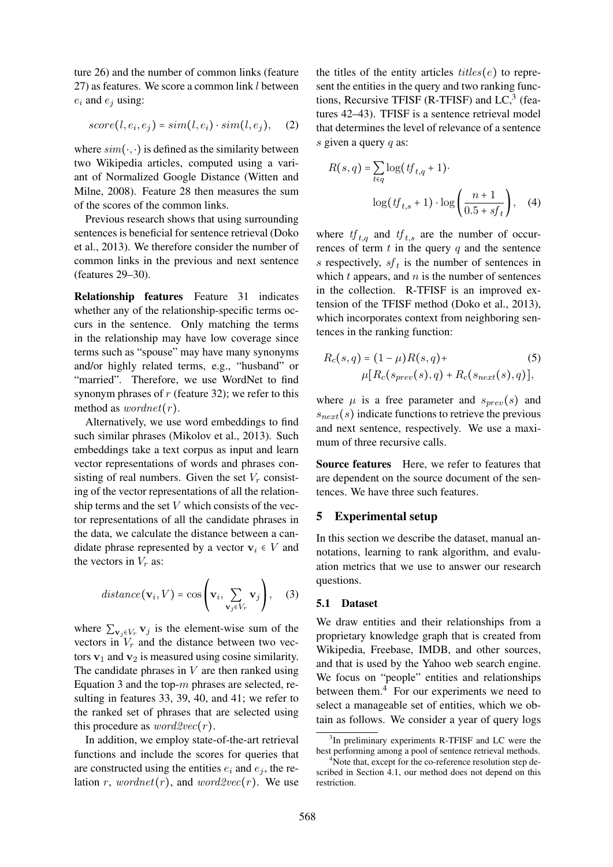ture 26) and the number of common links (feature 27) as features. We score a common link l between  $e_i$  and  $e_j$  using:

$$
score(l, e_i, e_j) = sim(l, e_i) \cdot sim(l, e_j), \quad (2)
$$

where  $sim(\cdot, \cdot)$  is defined as the similarity between two Wikipedia articles, computed using a variant of Normalized Google Distance (Witten and Milne, 2008). Feature 28 then measures the sum of the scores of the common links.

Previous research shows that using surrounding sentences is beneficial for sentence retrieval (Doko et al., 2013). We therefore consider the number of common links in the previous and next sentence (features 29–30).

Relationship features Feature 31 indicates whether any of the relationship-specific terms occurs in the sentence. Only matching the terms in the relationship may have low coverage since terms such as "spouse" may have many synonyms and/or highly related terms, e.g., "husband" or "married". Therefore, we use WordNet to find synonym phrases of  $r$  (feature 32); we refer to this method as  $wordnet(r)$ .

Alternatively, we use word embeddings to find such similar phrases (Mikolov et al., 2013). Such embeddings take a text corpus as input and learn vector representations of words and phrases consisting of real numbers. Given the set  $V_r$  consisting of the vector representations of all the relationship terms and the set  $V$  which consists of the vector representations of all the candidate phrases in the data, we calculate the distance between a candidate phrase represented by a vector  $v_i \in V$  and the vectors in  $V_r$  as:

$$
distance(\mathbf{v}_i, V) = \cos\left(\mathbf{v}_i, \sum_{\mathbf{v}_j \in V_r} \mathbf{v}_j\right), \quad (3)
$$

where  $\sum_{\mathbf{v}_j \in V_r} \mathbf{v}_j$  is the element-wise sum of the vectors in  $V_r$  and the distance between two vectors  $v_1$  and  $v_2$  is measured using cosine similarity. The candidate phrases in  $V$  are then ranked using Equation 3 and the top- $m$  phrases are selected, resulting in features 33, 39, 40, and 41; we refer to the ranked set of phrases that are selected using this procedure as  $word2vec(r)$ .

In addition, we employ state-of-the-art retrieval functions and include the scores for queries that are constructed using the entities  $e_i$  and  $e_j$ , the relation r, wordnet(r), and word2vec(r). We use

the titles of the entity articles  $titles(e)$  to represent the entities in the query and two ranking functions, Recursive TFISF (R-TFISF) and  $LC<sup>3</sup>$  (features 42–43). TFISF is a sentence retrieval model that determines the level of relevance of a sentence s given a query  $q$  as:

$$
R(s,q) = \sum_{t \in q} \log(tf_{t,q} + 1)
$$

$$
\log(tf_{t,s} + 1) \cdot \log\left(\frac{n+1}{0.5 + sf_t}\right), \quad (4)
$$

where  $tf_{t,q}$  and  $tf_{t,s}$  are the number of occurrences of term  $t$  in the query  $q$  and the sentence s respectively,  $sf<sub>t</sub>$  is the number of sentences in which  $t$  appears, and  $n$  is the number of sentences in the collection. R-TFISF is an improved extension of the TFISF method (Doko et al., 2013), which incorporates context from neighboring sentences in the ranking function:

$$
R_c(s,q) = (1 - \mu)R(s,q) +
$$
  
 
$$
\mu[R_c(s_{prev}(s),q) + R_c(s_{next}(s),q)],
$$
 (5)

where  $\mu$  is a free parameter and  $s_{prev}(s)$  and  $s_{next}(s)$  indicate functions to retrieve the previous and next sentence, respectively. We use a maximum of three recursive calls.

Source features Here, we refer to features that are dependent on the source document of the sentences. We have three such features.

### 5 Experimental setup

In this section we describe the dataset, manual annotations, learning to rank algorithm, and evaluation metrics that we use to answer our research questions.

#### 5.1 Dataset

We draw entities and their relationships from a proprietary knowledge graph that is created from Wikipedia, Freebase, IMDB, and other sources, and that is used by the Yahoo web search engine. We focus on "people" entities and relationships between them. $4$  For our experiments we need to select a manageable set of entities, which we obtain as follows. We consider a year of query logs

<sup>&</sup>lt;sup>3</sup>In preliminary experiments R-TFISF and LC were the best performing among a pool of sentence retrieval methods.

<sup>&</sup>lt;sup>4</sup>Note that, except for the co-reference resolution step described in Section 4.1, our method does not depend on this restriction.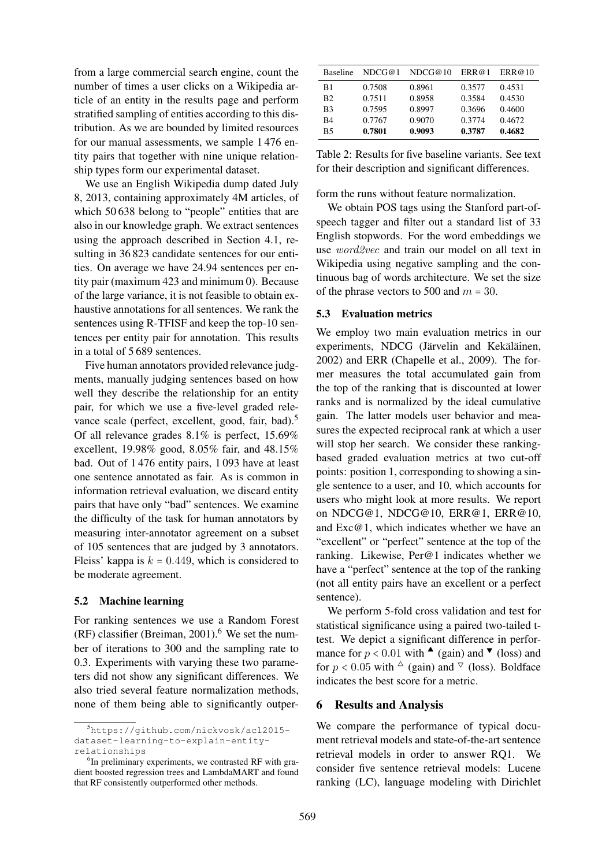from a large commercial search engine, count the number of times a user clicks on a Wikipedia article of an entity in the results page and perform stratified sampling of entities according to this distribution. As we are bounded by limited resources for our manual assessments, we sample 1 476 entity pairs that together with nine unique relationship types form our experimental dataset.

We use an English Wikipedia dump dated July 8, 2013, containing approximately 4M articles, of which 50 638 belong to "people" entities that are also in our knowledge graph. We extract sentences using the approach described in Section 4.1, resulting in 36 823 candidate sentences for our entities. On average we have 24.94 sentences per entity pair (maximum 423 and minimum 0). Because of the large variance, it is not feasible to obtain exhaustive annotations for all sentences. We rank the sentences using R-TFISF and keep the top-10 sentences per entity pair for annotation. This results in a total of 5 689 sentences.

Five human annotators provided relevance judgments, manually judging sentences based on how well they describe the relationship for an entity pair, for which we use a five-level graded relevance scale (perfect, excellent, good, fair, bad).<sup>5</sup> Of all relevance grades 8.1% is perfect, 15.69% excellent, 19.98% good, 8.05% fair, and 48.15% bad. Out of 1 476 entity pairs, 1 093 have at least one sentence annotated as fair. As is common in information retrieval evaluation, we discard entity pairs that have only "bad" sentences. We examine the difficulty of the task for human annotators by measuring inter-annotator agreement on a subset of 105 sentences that are judged by 3 annotators. Fleiss' kappa is  $k = 0.449$ , which is considered to be moderate agreement.

### 5.2 Machine learning

For ranking sentences we use a Random Forest  $(RF)$  classifier (Breiman, 2001).<sup>6</sup> We set the number of iterations to 300 and the sampling rate to 0.3. Experiments with varying these two parameters did not show any significant differences. We also tried several feature normalization methods, none of them being able to significantly outper-

| <b>Baseline</b> | NDCG@1 | NDCG@10 | ERR@1  | ERR@10 |
|-----------------|--------|---------|--------|--------|
| B1              | 0.7508 | 0.8961  | 0.3577 | 0.4531 |
| B <sub>2</sub>  | 0.7511 | 0.8958  | 0.3584 | 0.4530 |
| B <sub>3</sub>  | 0.7595 | 0.8997  | 0.3696 | 0.4600 |
| B4              | 0.7767 | 0.9070  | 0.3774 | 0.4672 |
| <b>B5</b>       | 0.7801 | 0.9093  | 0.3787 | 0.4682 |

Table 2: Results for five baseline variants. See text for their description and significant differences.

form the runs without feature normalization.

We obtain POS tags using the Stanford part-ofspeech tagger and filter out a standard list of 33 English stopwords. For the word embeddings we use word2vec and train our model on all text in Wikipedia using negative sampling and the continuous bag of words architecture. We set the size of the phrase vectors to 500 and  $m = 30$ .

### 5.3 Evaluation metrics

We employ two main evaluation metrics in our experiments, NDCG (Järvelin and Kekäläinen, 2002) and ERR (Chapelle et al., 2009). The former measures the total accumulated gain from the top of the ranking that is discounted at lower ranks and is normalized by the ideal cumulative gain. The latter models user behavior and measures the expected reciprocal rank at which a user will stop her search. We consider these rankingbased graded evaluation metrics at two cut-off points: position 1, corresponding to showing a single sentence to a user, and 10, which accounts for users who might look at more results. We report on NDCG@1, NDCG@10, ERR@1, ERR@10, and Exc@1, which indicates whether we have an "excellent" or "perfect" sentence at the top of the ranking. Likewise, Per@1 indicates whether we have a "perfect" sentence at the top of the ranking (not all entity pairs have an excellent or a perfect sentence).

We perform 5-fold cross validation and test for statistical significance using a paired two-tailed ttest. We depict a significant difference in performance for  $p < 0.01$  with  $\triangle$  (gain) and  $\blacktriangledown$  (loss) and for  $p < 0.05$  with  $\triangle$  (gain) and  $\triangledown$  (loss). Boldface indicates the best score for a metric.

### 6 Results and Analysis

We compare the performance of typical document retrieval models and state-of-the-art sentence retrieval models in order to answer RQ1. We consider five sentence retrieval models: Lucene ranking (LC), language modeling with Dirichlet

<sup>5</sup>https://github.com/nickvosk/acl2015 dataset-learning-to-explain-entityrelationships

<sup>&</sup>lt;sup>6</sup>In preliminary experiments, we contrasted RF with gradient boosted regression trees and LambdaMART and found that RF consistently outperformed other methods.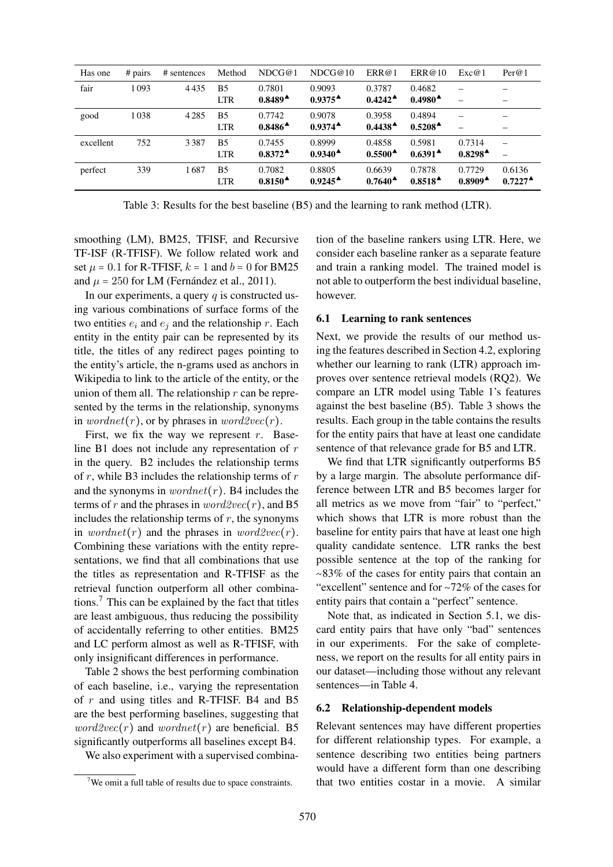| Has one   | $# \text{ pairs}$ | # sentences | Method                       | NDCG@1                                    | NDCG@10                                   | ERR@1                                     | ERR@10                                    | Exc@1                               | Per@1                                                |
|-----------|-------------------|-------------|------------------------------|-------------------------------------------|-------------------------------------------|-------------------------------------------|-------------------------------------------|-------------------------------------|------------------------------------------------------|
| fair      | 1093              | 4435        | B <sub>5</sub><br><b>LTR</b> | 0.7801<br>$0.8489^{\triangle}$            | 0.9093<br>$0.9375^{\textstyle \Delta}$    | 0.3787<br>$0.4242^{\triangle}$            | 0.4682<br>$0.4980^{\blacktriangle}$       |                                     |                                                      |
| good      | 1038              | 4285        | B <sub>5</sub><br><b>LTR</b> | 0.7742<br>$0.8486^{\textstyle \triangle}$ | 0.9078<br>$0.9374^{\textstyle \triangle}$ | 0.3958<br>$0.4438^{\triangle}$            | 0.4894<br>$0.5208^{\textstyle \Delta}$    |                                     |                                                      |
| excellent | 752               | 3387        | B <sub>5</sub><br><b>LTR</b> | 0.7455<br>$0.8372^{\textstyle \triangle}$ | 0.8999<br>$0.9340^{\textstyle \triangle}$ | 0.4858<br>$0.5500^{\textstyle \Delta}$    | 0.5981<br>$0.6391^{\textstyle \bullet}$   | 0.7314<br>$0.8298^{\triangle}$      |                                                      |
| perfect   | 339               | 1687        | B <sub>5</sub><br><b>LTR</b> | 0.7082<br>$0.8150^{\textstyle \Delta}$    | 0.8805<br>$0.9245^{\textstyle \Delta}$    | 0.6639<br>$0.7640^{\textstyle \triangle}$ | 0.7878<br>$0.8518^{\textstyle \triangle}$ | 0.7729<br>$0.8909^{\blacktriangle}$ | 0.6136<br>$0.7227$ <sup><math>\triangle</math></sup> |

Table 3: Results for the best baseline (B5) and the learning to rank method (LTR).

smoothing (LM), BM25, TFISF, and Recursive TF-ISF (R-TFISF). We follow related work and set  $\mu$  = 0.1 for R-TFISF,  $k = 1$  and  $b = 0$  for BM25 and  $\mu = 250$  for LM (Fernández et al., 2011).

In our experiments, a query  $q$  is constructed using various combinations of surface forms of the two entities  $e_i$  and  $e_j$  and the relationship r. Each entity in the entity pair can be represented by its title, the titles of any redirect pages pointing to the entity's article, the n-grams used as anchors in Wikipedia to link to the article of the entity, or the union of them all. The relationship  $r$  can be represented by the terms in the relationship, synonyms in wordnet(r), or by phrases in word2vec(r).

First, we fix the way we represent  $r$ . Baseline B1 does not include any representation of  $r$ in the query. B2 includes the relationship terms of  $r$ , while B3 includes the relationship terms of  $r$ and the synonyms in  $wordnet(r)$ . B4 includes the terms of r and the phrases in  $word2vec(r)$ , and B5 includes the relationship terms of  $r$ , the synonyms in wordnet(r) and the phrases in word2vec(r). Combining these variations with the entity representations, we find that all combinations that use the titles as representation and R-TFISF as the retrieval function outperform all other combinations.<sup>7</sup> This can be explained by the fact that titles are least ambiguous, thus reducing the possibility of accidentally referring to other entities. BM25 and LC perform almost as well as R-TFISF, with only insignificant differences in performance.

Table 2 shows the best performing combination of each baseline, i.e., varying the representation of  $r$  and using titles and R-TFISF. B4 and B5 are the best performing baselines, suggesting that  $word2vec(r)$  and  $wordnet(r)$  are beneficial. B5 significantly outperforms all baselines except B4.

We also experiment with a supervised combina-

tion of the baseline rankers using LTR. Here, we consider each baseline ranker as a separate feature and train a ranking model. The trained model is not able to outperform the best individual baseline, however.

#### 6.1 Learning to rank sentences

Next, we provide the results of our method using the features described in Section 4.2, exploring whether our learning to rank (LTR) approach improves over sentence retrieval models (RQ2). We compare an LTR model using Table 1's features against the best baseline (B5). Table 3 shows the results. Each group in the table contains the results for the entity pairs that have at least one candidate sentence of that relevance grade for B5 and LTR.

We find that LTR significantly outperforms B5 by a large margin. The absolute performance difference between LTR and B5 becomes larger for all metrics as we move from "fair" to "perfect," which shows that LTR is more robust than the baseline for entity pairs that have at least one high quality candidate sentence. LTR ranks the best possible sentence at the top of the ranking for ∼83% of the cases for entity pairs that contain an "excellent" sentence and for ∼72% of the cases for entity pairs that contain a "perfect" sentence.

Note that, as indicated in Section 5.1, we discard entity pairs that have only "bad" sentences in our experiments. For the sake of completeness, we report on the results for all entity pairs in our dataset—including those without any relevant sentences—in Table 4.

#### 6.2 Relationship-dependent models

Relevant sentences may have different properties for different relationship types. For example, a sentence describing two entities being partners would have a different form than one describing that two entities costar in a movie. A similar

 $7$ We omit a full table of results due to space constraints.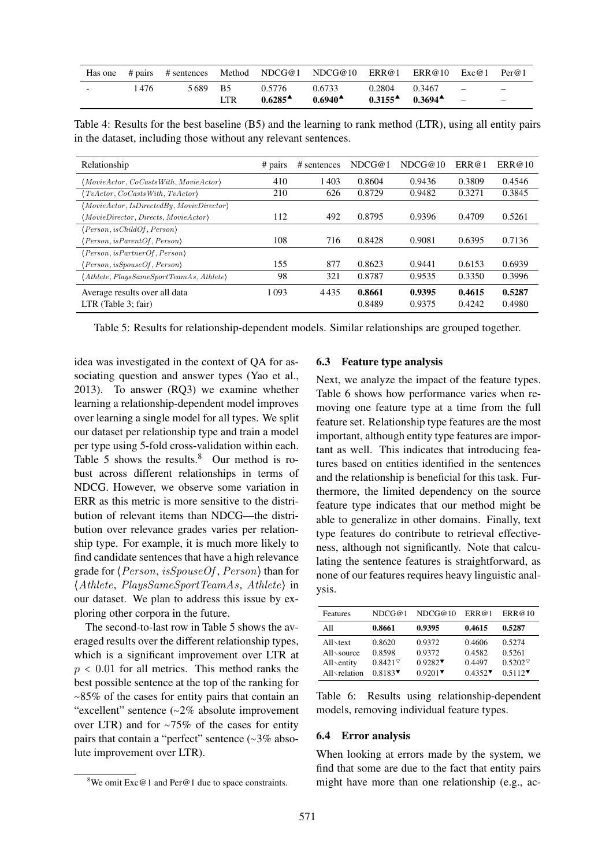|                          |       |         |     |                                           | Has one # pairs # sentences Method NDCG@1 NDCG@10 ERR@1 ERR@10 Exc@1 Per@1 |                                                                      |                                                      |
|--------------------------|-------|---------|-----|-------------------------------------------|----------------------------------------------------------------------------|----------------------------------------------------------------------|------------------------------------------------------|
| $\overline{\phantom{0}}$ | 1 476 | 5689 B5 | LTR | 0.5776<br>$0.6285^{\textstyle \triangle}$ | 0.6733<br>$0.6940^{\textstyle \bullet}$                                    | $0.2804$ $0.3467$ $-$<br>$0.3155^{\text{A}}$ $0.3694^{\text{A}}$ $-$ | $\overline{\phantom{0}}$<br>$\overline{\phantom{a}}$ |

Table 4: Results for the best baseline (B5) and the learning to rank method (LTR), using all entity pairs in the dataset, including those without any relevant sentences.

| Relationship                                                | # pairs | # sentences | NDCG@1 | NDCG@10 | ERR@1  | ERR@10 |
|-------------------------------------------------------------|---------|-------------|--------|---------|--------|--------|
| $(MovieAction, CoCasts With, MovieAction)$                  | 410     | 1403        | 0.8604 | 0.9436  | 0.3809 | 0.4546 |
| $\langle TvAction, CoCastsWith, TvAction \rangle$           | 210     | 626         | 0.8729 | 0.9482  | 0.3271 | 0.3845 |
| $\langle Movie Actor, IsDirectedBy, Movie Director \rangle$ |         |             |        |         |        |        |
| $\langle MovieDirectory, Directs, MovieAction \rangle$      | 112     | 492         | 0.8795 | 0.9396  | 0.4709 | 0.5261 |
| $\langle Person, isChildOf, Person \rangle$                 |         |             |        |         |        |        |
| $\langle Person, isParentOf, Person \rangle$                | 108     | 716         | 0.8428 | 0.9081  | 0.6395 | 0.7136 |
| $\langle Person, is PartnerOf, Person \rangle$              |         |             |        |         |        |        |
| $\langle Person, isSpouseOf, Person \rangle$                | 155     | 877         | 0.8623 | 0.9441  | 0.6153 | 0.6939 |
| (Athlete, PlaysSameSportTeamAs, Athlete)                    | 98      | 321         | 0.8787 | 0.9535  | 0.3350 | 0.3996 |
| Average results over all data                               | 1 0 9 3 | 4435        | 0.8661 | 0.9395  | 0.4615 | 0.5287 |
| $LTR$ (Table 3; fair)                                       |         |             | 0.8489 | 0.9375  | 0.4242 | 0.4980 |

Table 5: Results for relationship-dependent models. Similar relationships are grouped together.

idea was investigated in the context of QA for associating question and answer types (Yao et al., 2013). To answer (RQ3) we examine whether learning a relationship-dependent model improves over learning a single model for all types. We split our dataset per relationship type and train a model per type using 5-fold cross-validation within each. Table 5 shows the results.<sup>8</sup> Our method is robust across different relationships in terms of NDCG. However, we observe some variation in ERR as this metric is more sensitive to the distribution of relevant items than NDCG—the distribution over relevance grades varies per relationship type. For example, it is much more likely to find candidate sentences that have a high relevance grade for ⟨Person, isSpouseOf , Person⟩ than for ⟨Athlete, PlaysSameSportTeamAs, Athlete⟩ in our dataset. We plan to address this issue by exploring other corpora in the future.

The second-to-last row in Table 5 shows the averaged results over the different relationship types, which is a significant improvement over LTR at  $p < 0.01$  for all metrics. This method ranks the best possible sentence at the top of the ranking for ∼85% of the cases for entity pairs that contain an "excellent" sentence (∼2% absolute improvement over LTR) and for ∼75% of the cases for entity pairs that contain a "perfect" sentence (∼3% absolute improvement over LTR).

#### 6.3 Feature type analysis

Next, we analyze the impact of the feature types. Table 6 shows how performance varies when removing one feature type at a time from the full feature set. Relationship type features are the most important, although entity type features are important as well. This indicates that introducing features based on entities identified in the sentences and the relationship is beneficial for this task. Furthermore, the limited dependency on the source feature type indicates that our method might be able to generalize in other domains. Finally, text type features do contribute to retrieval effectiveness, although not significantly. Note that calculating the sentence features is straightforward, as none of our features requires heavy linguistic analysis.

| Features                                                                 | NDCG@1                                                                                                               | NDCG@10                                                                      | ERR@1                                | ERR@10                                          |
|--------------------------------------------------------------------------|----------------------------------------------------------------------------------------------------------------------|------------------------------------------------------------------------------|--------------------------------------|-------------------------------------------------|
| A11                                                                      | 0.8661                                                                                                               | 0.9395                                                                       | 0.4615                               | 0.5287                                          |
| $All\text{-}text$<br>$All \times source$<br>All\entity<br>$All$ relation | 0.8620<br>0.8598<br>$0.8421$ <sup><math>\triangledown</math></sup><br>$0.8183$ <sup><math>\triangledown</math></sup> | 0.9372<br>0.9372<br>$0.9282$ <sup><math>\triangledown</math></sup><br>0.9201 | 0.4606<br>0.4582<br>0.4497<br>0.4352 | 0.5274<br>0.5261<br>$0.5202^{\nabla}$<br>0.5112 |

Table 6: Results using relationship-dependent models, removing individual feature types.

#### 6.4 Error analysis

When looking at errors made by the system, we find that some are due to the fact that entity pairs might have more than one relationship (e.g., ac-

 $8$ We omit Exc@1 and Per@1 due to space constraints.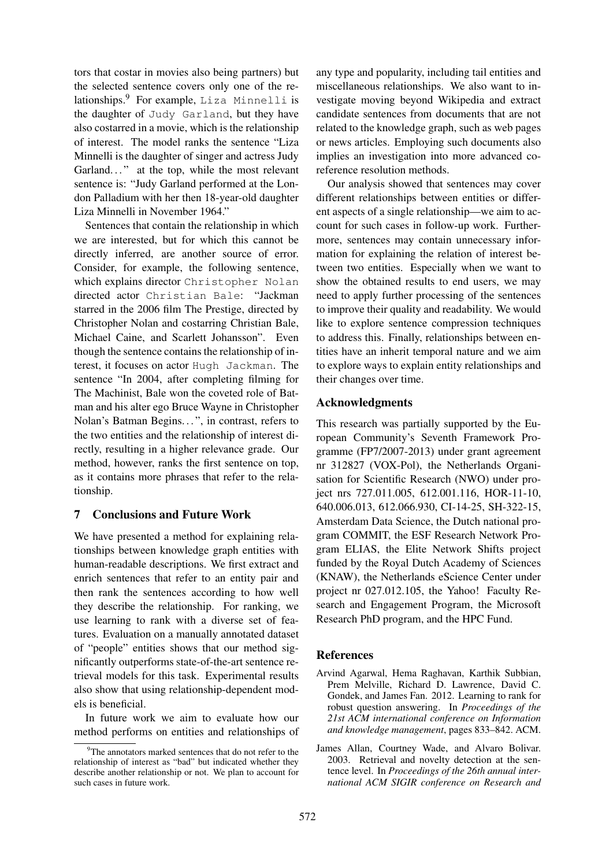tors that costar in movies also being partners) but the selected sentence covers only one of the relationships.<sup>9</sup> For example, Liza Minnelli is the daughter of Judy Garland, but they have also costarred in a movie, which is the relationship of interest. The model ranks the sentence "Liza Minnelli is the daughter of singer and actress Judy Garland..." at the top, while the most relevant sentence is: "Judy Garland performed at the London Palladium with her then 18-year-old daughter Liza Minnelli in November 1964."

Sentences that contain the relationship in which we are interested, but for which this cannot be directly inferred, are another source of error. Consider, for example, the following sentence, which explains director Christopher Nolan directed actor Christian Bale: "Jackman starred in the 2006 film The Prestige, directed by Christopher Nolan and costarring Christian Bale, Michael Caine, and Scarlett Johansson". Even though the sentence contains the relationship of interest, it focuses on actor Hugh Jackman. The sentence "In 2004, after completing filming for The Machinist, Bale won the coveted role of Batman and his alter ego Bruce Wayne in Christopher Nolan's Batman Begins. . . ", in contrast, refers to the two entities and the relationship of interest directly, resulting in a higher relevance grade. Our method, however, ranks the first sentence on top, as it contains more phrases that refer to the relationship.

### 7 Conclusions and Future Work

We have presented a method for explaining relationships between knowledge graph entities with human-readable descriptions. We first extract and enrich sentences that refer to an entity pair and then rank the sentences according to how well they describe the relationship. For ranking, we use learning to rank with a diverse set of features. Evaluation on a manually annotated dataset of "people" entities shows that our method significantly outperforms state-of-the-art sentence retrieval models for this task. Experimental results also show that using relationship-dependent models is beneficial.

In future work we aim to evaluate how our method performs on entities and relationships of any type and popularity, including tail entities and miscellaneous relationships. We also want to investigate moving beyond Wikipedia and extract candidate sentences from documents that are not related to the knowledge graph, such as web pages or news articles. Employing such documents also implies an investigation into more advanced coreference resolution methods.

Our analysis showed that sentences may cover different relationships between entities or different aspects of a single relationship—we aim to account for such cases in follow-up work. Furthermore, sentences may contain unnecessary information for explaining the relation of interest between two entities. Especially when we want to show the obtained results to end users, we may need to apply further processing of the sentences to improve their quality and readability. We would like to explore sentence compression techniques to address this. Finally, relationships between entities have an inherit temporal nature and we aim to explore ways to explain entity relationships and their changes over time.

## Acknowledgments

This research was partially supported by the European Community's Seventh Framework Programme (FP7/2007-2013) under grant agreement nr 312827 (VOX-Pol), the Netherlands Organisation for Scientific Research (NWO) under project nrs 727.011.005, 612.001.116, HOR-11-10, 640.006.013, 612.066.930, CI-14-25, SH-322-15, Amsterdam Data Science, the Dutch national program COMMIT, the ESF Research Network Program ELIAS, the Elite Network Shifts project funded by the Royal Dutch Academy of Sciences (KNAW), the Netherlands eScience Center under project nr 027.012.105, the Yahoo! Faculty Research and Engagement Program, the Microsoft Research PhD program, and the HPC Fund.

### **References**

- Arvind Agarwal, Hema Raghavan, Karthik Subbian, Prem Melville, Richard D. Lawrence, David C. Gondek, and James Fan. 2012. Learning to rank for robust question answering. In *Proceedings of the 21st ACM international conference on Information and knowledge management*, pages 833–842. ACM.
- James Allan, Courtney Wade, and Alvaro Bolivar. 2003. Retrieval and novelty detection at the sentence level. In *Proceedings of the 26th annual international ACM SIGIR conference on Research and*

 $9^9$ The annotators marked sentences that do not refer to the relationship of interest as "bad" but indicated whether they describe another relationship or not. We plan to account for such cases in future work.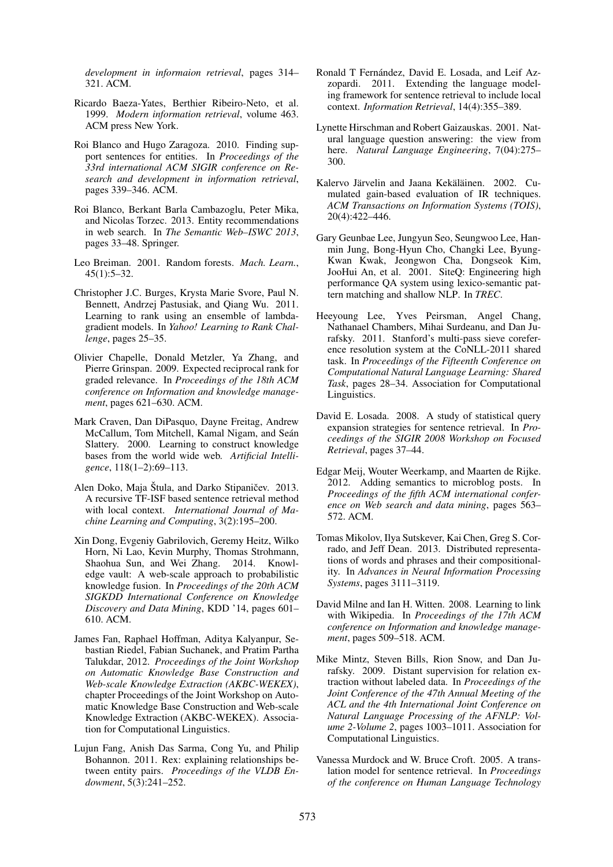*development in informaion retrieval*, pages 314– 321. ACM.

- Ricardo Baeza-Yates, Berthier Ribeiro-Neto, et al. 1999. *Modern information retrieval*, volume 463. ACM press New York.
- Roi Blanco and Hugo Zaragoza. 2010. Finding support sentences for entities. In *Proceedings of the 33rd international ACM SIGIR conference on Research and development in information retrieval*, pages 339–346. ACM.
- Roi Blanco, Berkant Barla Cambazoglu, Peter Mika, and Nicolas Torzec. 2013. Entity recommendations in web search. In *The Semantic Web–ISWC 2013*, pages 33–48. Springer.
- Leo Breiman. 2001. Random forests. *Mach. Learn.*, 45(1):5–32.
- Christopher J.C. Burges, Krysta Marie Svore, Paul N. Bennett, Andrzej Pastusiak, and Qiang Wu. 2011. Learning to rank using an ensemble of lambdagradient models. In *Yahoo! Learning to Rank Challenge*, pages 25–35.
- Olivier Chapelle, Donald Metzler, Ya Zhang, and Pierre Grinspan. 2009. Expected reciprocal rank for graded relevance. In *Proceedings of the 18th ACM conference on Information and knowledge management*, pages 621–630. ACM.
- Mark Craven, Dan DiPasquo, Dayne Freitag, Andrew McCallum, Tom Mitchell, Kamal Nigam, and Seán Slattery. 2000. Learning to construct knowledge bases from the world wide web. *Artificial Intelligence*, 118(1–2):69–113.
- Alen Doko, Maja Stula, and Darko Stipaničev. 2013. A recursive TF-ISF based sentence retrieval method with local context. *International Journal of Machine Learning and Computing*, 3(2):195–200.
- Xin Dong, Evgeniy Gabrilovich, Geremy Heitz, Wilko Horn, Ni Lao, Kevin Murphy, Thomas Strohmann, Shaohua Sun, and Wei Zhang. 2014. Knowledge vault: A web-scale approach to probabilistic knowledge fusion. In *Proceedings of the 20th ACM SIGKDD International Conference on Knowledge Discovery and Data Mining*, KDD '14, pages 601– 610. ACM.
- James Fan, Raphael Hoffman, Aditya Kalyanpur, Sebastian Riedel, Fabian Suchanek, and Pratim Partha Talukdar, 2012. *Proceedings of the Joint Workshop on Automatic Knowledge Base Construction and Web-scale Knowledge Extraction (AKBC-WEKEX)*, chapter Proceedings of the Joint Workshop on Automatic Knowledge Base Construction and Web-scale Knowledge Extraction (AKBC-WEKEX). Association for Computational Linguistics.
- Lujun Fang, Anish Das Sarma, Cong Yu, and Philip Bohannon. 2011. Rex: explaining relationships between entity pairs. *Proceedings of the VLDB Endowment*, 5(3):241–252.
- Ronald T Fernández, David E. Losada, and Leif Azzopardi. 2011. Extending the language modeling framework for sentence retrieval to include local context. *Information Retrieval*, 14(4):355–389.
- Lynette Hirschman and Robert Gaizauskas. 2001. Natural language question answering: the view from here. *Natural Language Engineering*, 7(04):275– 300.
- Kalervo Järvelin and Jaana Kekäläinen. 2002. Cumulated gain-based evaluation of IR techniques. *ACM Transactions on Information Systems (TOIS)*, 20(4):422–446.
- Gary Geunbae Lee, Jungyun Seo, Seungwoo Lee, Hanmin Jung, Bong-Hyun Cho, Changki Lee, Byung-Kwan Kwak, Jeongwon Cha, Dongseok Kim, JooHui An, et al. 2001. SiteQ: Engineering high performance QA system using lexico-semantic pattern matching and shallow NLP. In *TREC*.
- Heeyoung Lee, Yves Peirsman, Angel Chang, Nathanael Chambers, Mihai Surdeanu, and Dan Jurafsky. 2011. Stanford's multi-pass sieve coreference resolution system at the CoNLL-2011 shared task. In *Proceedings of the Fifteenth Conference on Computational Natural Language Learning: Shared Task*, pages 28–34. Association for Computational Linguistics.
- David E. Losada. 2008. A study of statistical query expansion strategies for sentence retrieval. In *Proceedings of the SIGIR 2008 Workshop on Focused Retrieval*, pages 37–44.
- Edgar Meij, Wouter Weerkamp, and Maarten de Rijke. 2012. Adding semantics to microblog posts. In *Proceedings of the fifth ACM international conference on Web search and data mining*, pages 563– 572. ACM.
- Tomas Mikolov, Ilya Sutskever, Kai Chen, Greg S. Corrado, and Jeff Dean. 2013. Distributed representations of words and phrases and their compositionality. In *Advances in Neural Information Processing Systems*, pages 3111–3119.
- David Milne and Ian H. Witten. 2008. Learning to link with Wikipedia. In *Proceedings of the 17th ACM conference on Information and knowledge management*, pages 509–518. ACM.
- Mike Mintz, Steven Bills, Rion Snow, and Dan Jurafsky. 2009. Distant supervision for relation extraction without labeled data. In *Proceedings of the Joint Conference of the 47th Annual Meeting of the ACL and the 4th International Joint Conference on Natural Language Processing of the AFNLP: Volume 2-Volume 2*, pages 1003–1011. Association for Computational Linguistics.
- Vanessa Murdock and W. Bruce Croft. 2005. A translation model for sentence retrieval. In *Proceedings of the conference on Human Language Technology*